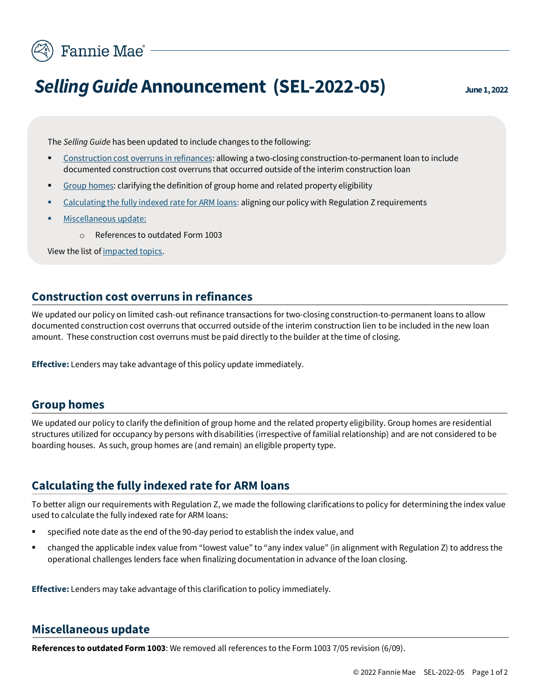

# **Selling Guide Announcement (SEL-2022-05)** June 1, 2022

The *Selling Guide* has been updated to include changes to the following:

- [Construction cost overruns in refinances:](#page-0-0) allowing a two-closing construction-to-permanent loan to include documented construction cost overruns that occurred outside of the interim construction loan
- [Group homes:](#page-0-1) clarifying the definition of group home and related property eligibility
- [Calculating the fully indexed rate for ARM loans:](#page-0-2) aligning our policy with Regulation Z requirements
- [Miscellaneous update:](#page-0-3)
	- o References to outdated Form 1003

View the list of [impacted topics.](#page-1-0)

## <span id="page-0-0"></span>**Construction cost overruns in refinances**

We updated our policy on limited cash-out refinance transactions for two-closing construction-to-permanent loans to allow documented construction cost overruns that occurred outside of the interim construction lien to be included in the new loan amount. These construction cost overruns must be paid directly to the builder at the time of closing.

**Effective:** Lenders may take advantage of this policy update immediately.

## **Group homes**

<span id="page-0-1"></span>We updated our policy to clarify the definition of group home and the related property eligibility. Group homes are residential structures utilized for occupancy by persons with disabilities (irrespective of familial relationship) and are not considered to be boarding houses. As such, group homes are (and remain) an eligible property type.

# **Calculating the fully indexed rate for ARM loans**

<span id="page-0-2"></span>To better align our requirements with Regulation Z, we made the following clarifications to policy for determining the index value used to calculate the fully indexed rate for ARM loans:

- specified note date as the end of the 90-day period to establish the index value, and
- changed the applicable index value from "lowest value" to "any index value" (in alignment with Regulation Z) to address the operational challenges lenders face when finalizing documentation in advance of the loan closing.

**Effective:** Lenders may take advantage of this clarification to policy immediately.

## <span id="page-0-3"></span>**Miscellaneous update**

**References to outdated Form 1003**: We removed all references to the Form 1003 7/05 revision (6/09).